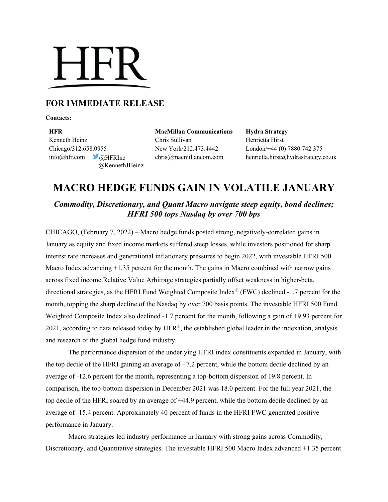# **HFR**

### **FOR IMMEDIATE RELEASE**

**Contacts:**

**HFR MacMillan Communications Hydra Strategy** Kenneth Heinz Chris Sullivan Henrietta Hirst Chicago/312.658.0955 New York/212.473.4442 London/+44 (0) 7880 742 375 @KennethJHeinz

 $inf_{\Omega}$ hfr.com @HFRInc [chris@macmillancom.com](mailto:chris@macmillancom.com) henrietta.hirst@hydrastrategy.co.uk

## **MACRO HEDGE FUNDS GAIN IN VOLATILE JANUARY**

*Commodity, Discretionary, and Quant Macro navigate steep equity, bond declines; HFRI 500 tops Nasdaq by over 700 bps*

CHICAGO, (February 7, 2022) – Macro hedge funds posted strong, negatively-correlated gains in January as equity and fixed income markets suffered steep losses, while investors positioned for sharp interest rate increases and generational inflationary pressures to begin 2022, with investable HFRI 500 Macro Index advancing  $+1.35$  percent for the month. The gains in Macro combined with narrow gains across fixed income Relative Value Arbitrage strategies partially offset weakness in higher-beta, directional strategies, as the HFRI Fund Weighted Composite Index® (FWC) declined -1.7 percent for the month, topping the sharp decline of the Nasdaq by over 700 basis points. The investable HFRI 500 Fund Weighted Composite Index also declined -1.7 percent for the month, following a gain of +9.93 percent for 2021, according to data released today by  $HFR^{\circledast}$ , the established global leader in the indexation, analysis and research of the global hedge fund industry.

The performance dispersion of the underlying HFRI index constituents expanded in January, with the top decile of the HFRI gaining an average of +7.2 percent, while the bottom decile declined by an average of -12.6 percent for the month, representing a top-bottom dispersion of 19.8 percent. In comparison, the top-bottom dispersion in December 2021 was 18.0 percent. For the full year 2021, the top decile of the HFRI soared by an average of +44.9 percent, while the bottom decile declined by an average of -15.4 percent. Approximately 40 percent of funds in the HFRI FWC generated positive performance in January.

Macro strategies led industry performance in January with strong gains across Commodity, Discretionary, and Quantitative strategies. The investable HFRI 500 Macro Index advanced +1.35 percent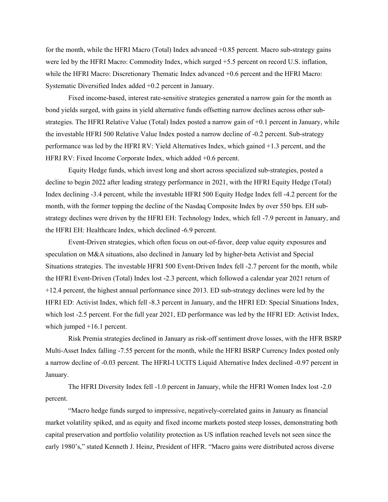for the month, while the HFRI Macro (Total) Index advanced +0.85 percent. Macro sub-strategy gains were led by the HFRI Macro: Commodity Index, which surged +5.5 percent on record U.S. inflation, while the HFRI Macro: Discretionary Thematic Index advanced +0.6 percent and the HFRI Macro: Systematic Diversified Index added +0.2 percent in January.

Fixed income-based, interest rate-sensitive strategies generated a narrow gain for the month as bond yields surged, with gains in yield alternative funds offsetting narrow declines across other substrategies. The HFRI Relative Value (Total) Index posted a narrow gain of +0.1 percent in January, while the investable HFRI 500 Relative Value Index posted a narrow decline of -0.2 percent. Sub-strategy performance was led by the HFRI RV: Yield Alternatives Index, which gained +1.3 percent, and the HFRI RV: Fixed Income Corporate Index, which added +0.6 percent.

Equity Hedge funds, which invest long and short across specialized sub-strategies, posted a decline to begin 2022 after leading strategy performance in 2021, with the HFRI Equity Hedge (Total) Index declining -3.4 percent, while the investable HFRI 500 Equity Hedge Index fell -4.2 percent for the month, with the former topping the decline of the Nasdaq Composite Index by over 550 bps. EH substrategy declines were driven by the HFRI EH: Technology Index, which fell -7.9 percent in January, and the HFRI EH: Healthcare Index, which declined -6.9 percent.

Event-Driven strategies, which often focus on out-of-favor, deep value equity exposures and speculation on M&A situations, also declined in January led by higher-beta Activist and Special Situations strategies. The investable HFRI 500 Event-Driven Index fell -2.7 percent for the month, while the HFRI Event-Driven (Total) Index lost -2.3 percent, which followed a calendar year 2021 return of +12.4 percent, the highest annual performance since 2013. ED sub-strategy declines were led by the HFRI ED: Activist Index, which fell -8.3 percent in January, and the HFRI ED: Special Situations Index, which lost -2.5 percent. For the full year 2021, ED performance was led by the HFRI ED: Activist Index, which jumped  $+16.1$  percent.

Risk Premia strategies declined in January as risk-off sentiment drove losses, with the HFR BSRP Multi-Asset Index falling -7.55 percent for the month, while the HFRI BSRP Currency Index posted only a narrow decline of -0.03 percent. The HFRI-I UCITS Liquid Alternative Index declined -0.97 percent in January.

The HFRI Diversity Index fell -1.0 percent in January, while the HFRI Women Index lost -2.0 percent.

"Macro hedge funds surged to impressive, negatively-correlated gains in January as financial market volatility spiked, and as equity and fixed income markets posted steep losses, demonstrating both capital preservation and portfolio volatility protection as US inflation reached levels not seen since the early 1980's," stated Kenneth J. Heinz, President of HFR. "Macro gains were distributed across diverse